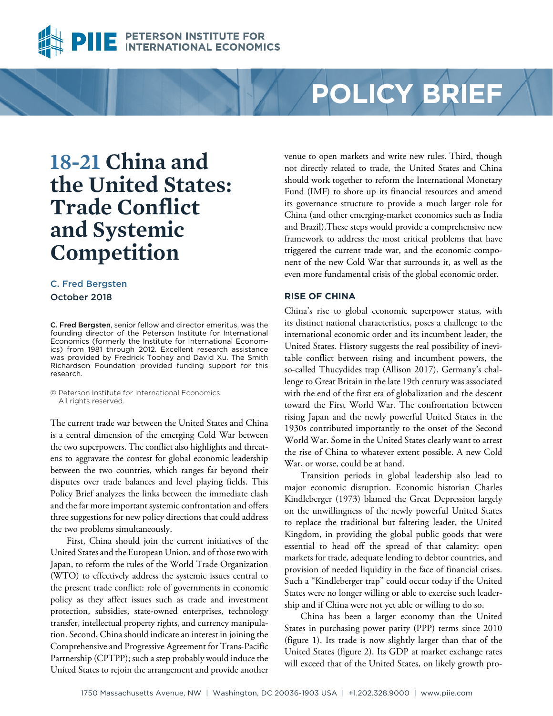

# PETERSON INSTITUTE FOR<br>INTERNATIONAL ECONOMI

# **POLICY BRIEF**

# **18-21 China and the United States: Trade Conflict and Systemic Competition**

# [C. Fred Bergsten](https://piie.com/experts/senior-research-staff/c-fred-bergsten) October 2018

C. Fred Bergsten, senior fellow and director emeritus, was the founding director of the Peterson Institute for International Economics (formerly the Institute for International Economics) from 1981 through 2012. Excellent research assistance was provided by [Fredrick Toohey](https://piie.com/experts/former-research-staff/fredrick-toohey) and [David Xu.](https://piie.com/experts/research-analysts/david-xu) The Smith Richardson Foundation provided funding support for this research.

© Peterson Institute for International Economics. All rights reserved.

The current trade war between the United States and China is a central dimension of the emerging Cold War between the two superpowers. The conflict also highlights and threatens to aggravate the contest for global economic leadership between the two countries, which ranges far beyond their disputes over trade balances and level playing fields. This Policy Brief analyzes the links between the immediate clash and the far more important systemic confrontation and offers three suggestions for new policy directions that could address the two problems simultaneously.

First, China should join the current initiatives of the United States and the European Union, and of those two with Japan, to reform the rules of the World Trade Organization (WTO) to effectively address the systemic issues central to the present trade conflict: role of governments in economic policy as they affect issues such as trade and investment protection, subsidies, state-owned enterprises, technology transfer, intellectual property rights, and currency manipulation. Second, China should indicate an interest in joining the Comprehensive and Progressive Agreement for Trans-Pacific Partnership (CPTPP); such a step probably would induce the United States to rejoin the arrangement and provide another

venue to open markets and write new rules. Third, though not directly related to trade, the United States and China should work together to reform the International Monetary Fund (IMF) to shore up its financial resources and amend its governance structure to provide a much larger role for China (and other emerging-market economies such as India and Brazil).These steps would provide a comprehensive new framework to address the most critical problems that have triggered the current trade war, and the economic component of the new Cold War that surrounds it, as well as the even more fundamental crisis of the global economic order.

# **RISE OF CHINA**

China's rise to global economic superpower status, with its distinct national characteristics, poses a challenge to the international economic order and its incumbent leader, the United States. History suggests the real possibility of inevitable conflict between rising and incumbent powers, the so-called Thucydides trap (Allison 2017). Germany's challenge to Great Britain in the late 19th century was associated with the end of the first era of globalization and the descent toward the First World War. The confrontation between rising Japan and the newly powerful United States in the 1930s contributed importantly to the onset of the Second World War. Some in the United States clearly want to arrest the rise of China to whatever extent possible. A new Cold War, or worse, could be at hand.

Transition periods in global leadership also lead to major economic disruption. Economic historian Charles Kindleberger (1973) blamed the Great Depression largely on the unwillingness of the newly powerful United States to replace the traditional but faltering leader, the United Kingdom, in providing the global public goods that were essential to head off the spread of that calamity: open markets for trade, adequate lending to debtor countries, and provision of needed liquidity in the face of financial crises. Such a "Kindleberger trap" could occur today if the United States were no longer willing or able to exercise such leadership and if China were not yet able or willing to do so.

China has been a larger economy than the United States in purchasing power parity (PPP) terms since 2010 (figure 1). Its trade is now slightly larger than that of the United States (figure 2). Its GDP at market exchange rates will exceed that of the United States, on likely growth pro-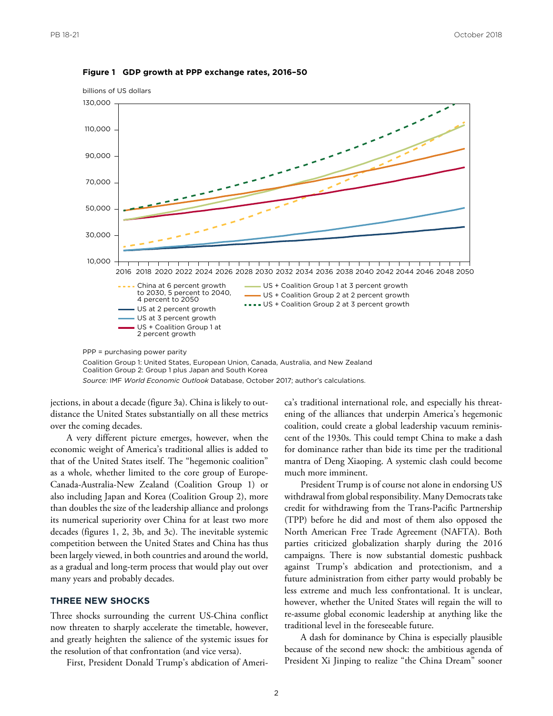

#### **Figure 1 GDP growth at PPP exchange rates, 2016–50**

Coalition Group 2: Group 1 plus Japan and South Korea *Source:* IMF *World Economic Outlook* Database, October 2017; author's calculations.

jections, in about a decade (figure 3a). China is likely to outdistance the United States substantially on all these metrics over the coming decades.

A very different picture emerges, however, when the economic weight of America's traditional allies is added to that of the United States itself. The "hegemonic coalition" as a whole, whether limited to the core group of Europe-Canada-Australia-New Zealand (Coalition Group 1) or also including Japan and Korea (Coalition Group 2), more than doubles the size of the leadership alliance and prolongs its numerical superiority over China for at least two more decades (figures 1, 2, 3b, and 3c). The inevitable systemic competition between the United States and China has thus been largely viewed, in both countries and around the world, as a gradual and long-term process that would play out over many years and probably decades.

## **THREE NEW SHOCKS**

Three shocks surrounding the current US-China conflict now threaten to sharply accelerate the timetable, however, and greatly heighten the salience of the systemic issues for the resolution of that confrontation (and vice versa).

First, President Donald Trump's abdication of Ameri-

ca's traditional international role, and especially his threatening of the alliances that underpin America's hegemonic coalition, could create a global leadership vacuum reminiscent of the 1930s. This could tempt China to make a dash for dominance rather than bide its time per the traditional mantra of Deng Xiaoping. A systemic clash could become much more imminent.

President Trump is of course not alone in endorsing US withdrawal from global responsibility. Many Democrats take credit for withdrawing from the Trans-Pacific Partnership (TPP) before he did and most of them also opposed the North American Free Trade Agreement (NAFTA). Both parties criticized globalization sharply during the 2016 campaigns. There is now substantial domestic pushback against Trump's abdication and protectionism, and a future administration from either party would probably be less extreme and much less confrontational. It is unclear, however, whether the United States will regain the will to re-assume global economic leadership at anything like the traditional level in the foreseeable future.

A dash for dominance by China is especially plausible because of the second new shock: the ambitious agenda of President Xi Jinping to realize "the China Dream" sooner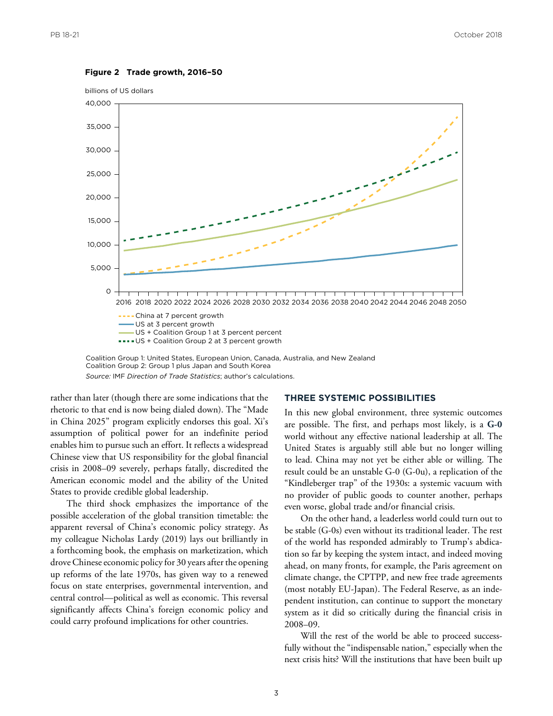

#### **Figure 2 Trade growth, 2016–50**

billions of US dollars

Coalition Group 2: Group 1 plus Japan and South Korea *Source:* IMF *Direction of Trade Statistics*; author's calculations.

rather than later (though there are some indications that the rhetoric to that end is now being dialed down). The "Made in China 2025" program explicitly endorses this goal. Xi's assumption of political power for an indefinite period enables him to pursue such an effort. It reflects a widespread Chinese view that US responsibility for the global financial crisis in 2008–09 severely, perhaps fatally, discredited the American economic model and the ability of the United States to provide credible global leadership.

The third shock emphasizes the importance of the possible acceleration of the global transition timetable: the apparent reversal of China's economic policy strategy. As my colleague Nicholas Lardy (2019) lays out brilliantly in a forthcoming book, the emphasis on marketization, which drove Chinese economic policy for 30 years after the opening up reforms of the late 1970s, has given way to a renewed focus on state enterprises, governmental intervention, and central control—political as well as economic. This reversal significantly affects China's foreign economic policy and could carry profound implications for other countries.

#### **THREE SYSTEMIC POSSIBILITIES**

In this new global environment, three systemic outcomes are possible. The first, and perhaps most likely, is a **G-0**  world without any effective national leadership at all. The United States is arguably still able but no longer willing to lead. China may not yet be either able or willing. The result could be an unstable G-0 (G-0u), a replication of the "Kindleberger trap" of the 1930s: a systemic vacuum with no provider of public goods to counter another, perhaps even worse, global trade and/or financial crisis.

On the other hand, a leaderless world could turn out to be stable (G-0s) even without its traditional leader. The rest of the world has responded admirably to Trump's abdication so far by keeping the system intact, and indeed moving ahead, on many fronts, for example, the Paris agreement on climate change, the CPTPP, and new free trade agreements (most notably EU-Japan). The Federal Reserve, as an independent institution, can continue to support the monetary system as it did so critically during the financial crisis in 2008–09.

Will the rest of the world be able to proceed successfully without the "indispensable nation," especially when the next crisis hits? Will the institutions that have been built up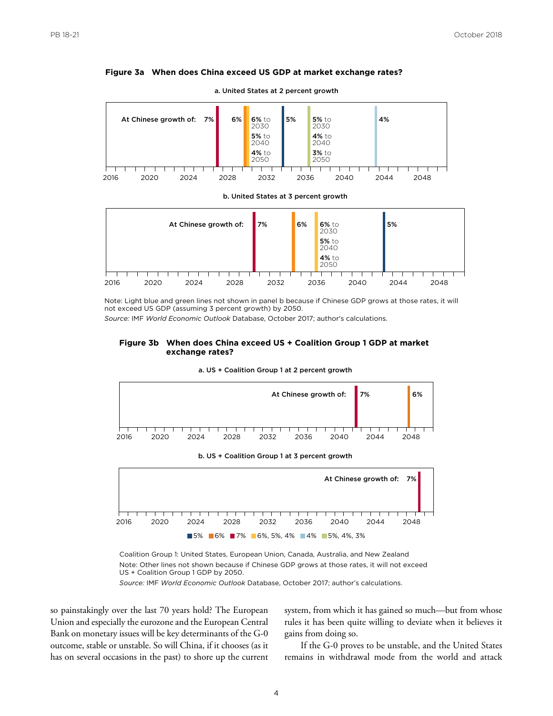#### **Figure 3a When does China exceed US GDP at market exchange rates?**



a. United States at 2 percent growth





Note: Light blue and green lines not shown in panel b because if Chinese GDP grows at those rates, it will not exceed US GDP (assuming 3 percent growth) by 2050.

*Source:* IMF *World Economic Outlook* Database, October 2017; author's calculations.

#### **Figure 3b When does China exceed US + Coalition Group 1 GDP at market exchange rates?**



a. US + Coalition Group 1 at 2 percent growth

Coalition Group 1: United States, European Union, Canada, Australia, and New Zealand Note: Other lines not shown because if Chinese GDP grows at those rates, it will not exceed US + Coalition Group 1 GDP by 2050.

5% 6% 7% 6%, 5%, 4% 4% 5%, 4%, 3%

*Source:* IMF *World Economic Outlook* Database, October 2017; author's calculations.

so painstakingly over the last 70 years hold? The European Union and especially the eurozone and the European Central Bank on monetary issues will be key determinants of the G-0 outcome, stable or unstable. So will China, if it chooses (as it has on several occasions in the past) to shore up the current system, from which it has gained so much—but from whose rules it has been quite willing to deviate when it believes it gains from doing so.

If the G-0 proves to be unstable, and the United States remains in withdrawal mode from the world and attack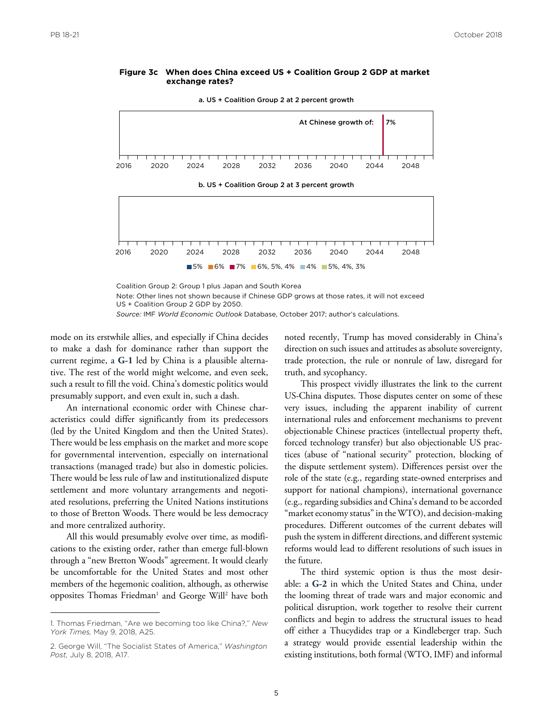#### **Figure 3c When does China exceed US + Coalition Group 2 GDP at market exchange rates?**

a. US + Coalition Group 2 at 2 percent growth



b. US + Coalition Group 2 at 3 percent growth



Coalition Group 2: Group 1 plus Japan and South Korea

Note: Other lines not shown because if Chinese GDP grows at those rates, it will not exceed US + Coalition Group 2 GDP by 2050.

*Source:* IMF *World Economic Outlook* Database, October 2017; author's calculations.

mode on its erstwhile allies, and especially if China decides to make a dash for dominance rather than support the current regime, a **G-1** led by China is a plausible alternative. The rest of the world might welcome, and even seek, such a result to fill the void. China's domestic politics would presumably support, and even exult in, such a dash.

An international economic order with Chinese characteristics could differ significantly from its predecessors (led by the United Kingdom and then the United States). There would be less emphasis on the market and more scope for governmental intervention, especially on international transactions (managed trade) but also in domestic policies. There would be less rule of law and institutionalized dispute settlement and more voluntary arrangements and negotiated resolutions, preferring the United Nations institutions to those of Bretton Woods. There would be less democracy and more centralized authority.

All this would presumably evolve over time, as modifications to the existing order, rather than emerge full-blown through a "new Bretton Woods" agreement. It would clearly be uncomfortable for the United States and most other members of the hegemonic coalition, although, as otherwise opposites Thomas Friedman<sup>1</sup> and George Will<sup>2</sup> have both noted recently, Trump has moved considerably in China's direction on such issues and attitudes as absolute sovereignty, trade protection, the rule or nonrule of law, disregard for truth, and sycophancy.

This prospect vividly illustrates the link to the current US-China disputes. Those disputes center on some of these very issues, including the apparent inability of current international rules and enforcement mechanisms to prevent objectionable Chinese practices (intellectual property theft, forced technology transfer) but also objectionable US practices (abuse of "national security" protection, blocking of the dispute settlement system). Differences persist over the role of the state (e.g., regarding state-owned enterprises and support for national champions), international governance (e.g., regarding subsidies and China's demand to be accorded "market economy status" in the WTO), and decision-making procedures. Different outcomes of the current debates will push the system in different directions, and different systemic reforms would lead to different resolutions of such issues in the future.

The third systemic option is thus the most desirable: a **G-2** in which the United States and China, under the looming threat of trade wars and major economic and political disruption, work together to resolve their current conflicts and begin to address the structural issues to head off either a Thucydides trap or a Kindleberger trap. Such a strategy would provide essential leadership within the existing institutions, both formal (WTO, IMF) and informal

<sup>1.</sup> Thomas Friedman, "Are we becoming too like China?," *New York Times,* May 9, 2018, A25.

<sup>2.</sup> George Will, "The Socialist States of America," *Washington Post,* July 8, 2018, A17.